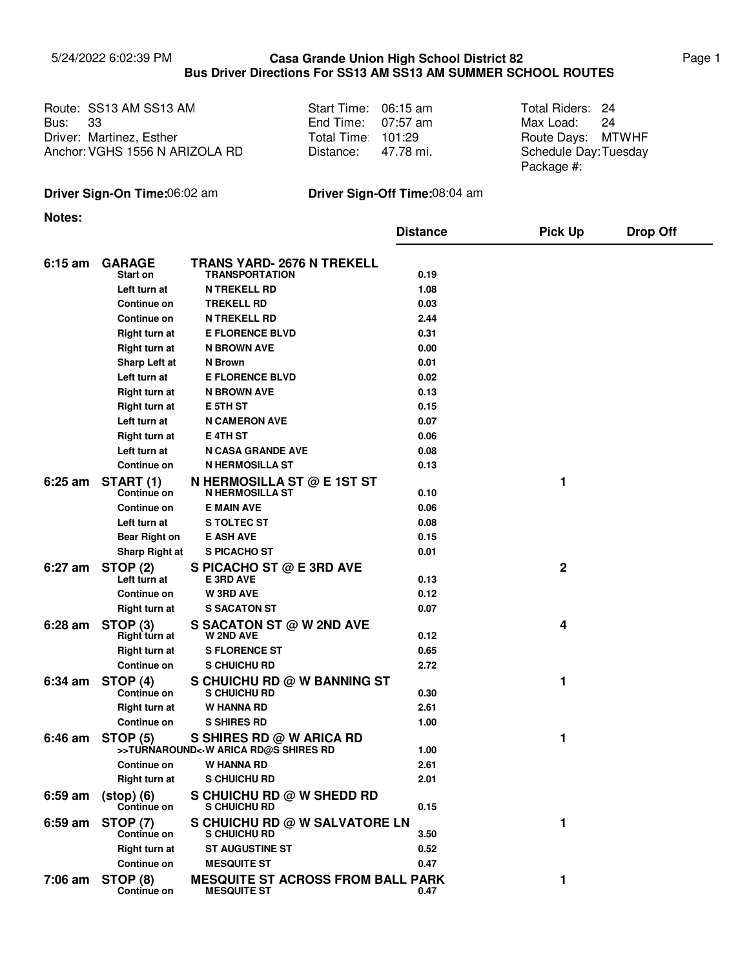## 5/24/2022 6:02:39 PM Page 1 **Casa Grande Union High School District 82 Bus Driver Directions For SS13 AM SS13 AM SUMMER SCHOOL ROUTES**

|                | Route: SS13 AM SS13 AM         | Start Time: 06:15 am | Total Riders: 24      |  |
|----------------|--------------------------------|----------------------|-----------------------|--|
| <b>Bus: 33</b> |                                | End Time: $07:57$ am | Max Load: 24          |  |
|                | Driver: Martinez, Esther       | Total Time 101:29    | Route Days: MTWHF     |  |
|                | Anchor: VGHS 1556 N ARIZOLA RD | Distance: 47.78 mi.  | Schedule Day: Tuesday |  |

| Start Time: | $06:15 \text{ am}$ |
|-------------|--------------------|
| End Time:   | 07:57 am           |
| Total Time: | 101:29             |
| Distance:   | 47.78 mi.          |

Max Load: 24 Schedule Day: Tuesday Package #:

## **Driver Sign-On Time:**06:02 am **Driver Sign-Off Time:**08:04 am

**Notes:**

|           |                                       |                                                                  | <b>Distance</b> | <b>Pick Up</b> | <b>Drop Off</b> |
|-----------|---------------------------------------|------------------------------------------------------------------|-----------------|----------------|-----------------|
| $6:15$ am | <b>GARAGE</b><br>Start on             | TRANS YARD- 2676 N TREKELL<br><b>TRANSPORTATION</b>              | 0.19            |                |                 |
|           | Left turn at                          | <b>N TREKELL RD</b>                                              | 1.08            |                |                 |
|           | Continue on                           | <b>TREKELL RD</b>                                                | 0.03            |                |                 |
|           | Continue on                           | <b>N TREKELL RD</b>                                              | 2.44            |                |                 |
|           | <b>Right turn at</b>                  | <b>E FLORENCE BLVD</b>                                           | 0.31            |                |                 |
|           | <b>Right turn at</b>                  | <b>N BROWN AVE</b>                                               | 0.00            |                |                 |
|           | Sharp Left at                         | N Brown                                                          | 0.01            |                |                 |
|           | Left turn at                          | <b>E FLORENCE BLVD</b>                                           | 0.02            |                |                 |
|           | <b>Right turn at</b>                  | <b>N BROWN AVE</b>                                               | 0.13            |                |                 |
|           | <b>Right turn at</b>                  | <b>E 5TH ST</b>                                                  | 0.15            |                |                 |
|           | Left turn at                          | <b>N CAMERON AVE</b>                                             | 0.07            |                |                 |
|           | Right turn at                         | <b>E 4TH ST</b>                                                  | 0.06            |                |                 |
|           | Left turn at                          | <b>N CASA GRANDE AVE</b>                                         | 0.08            |                |                 |
|           | Continue on                           | <b>N HERMOSILLA ST</b>                                           | 0.13            |                |                 |
| $6:25$ am | START (1)<br>Continue on              | <b>N HERMOSILLA ST @ E 1ST ST</b><br><b>N HERMOSILLA ST</b>      | 0.10            | 1              |                 |
|           | <b>Continue on</b>                    | <b>E MAIN AVE</b>                                                | 0.06            |                |                 |
|           | Left turn at                          | <b>S TOLTEC ST</b>                                               | 0.08            |                |                 |
|           | <b>Bear Right on</b>                  | <b>E ASH AVE</b>                                                 | 0.15            |                |                 |
|           | <b>Sharp Right at</b>                 | S PICACHO ST                                                     | 0.01            |                |                 |
| 6:27 am   | <b>STOP (2)</b>                       | S PICACHO ST @ E 3RD AVE                                         |                 | $\mathbf 2$    |                 |
|           | Left turn at                          | E 3RD AVE                                                        | 0.13            |                |                 |
|           | <b>Continue on</b>                    | <b>W3RD AVE</b>                                                  | 0.12            |                |                 |
|           | <b>Right turn at</b>                  | <b>S SACATON ST</b>                                              | 0.07            |                |                 |
| $6:28$ am | STOP <sub>(3)</sub><br>Right turn at  | S SACATON ST $@$ W 2ND AVE<br><b>W 2ND AVE</b>                   | 0.12            | 4              |                 |
|           | Right turn at                         | <b>S FLORENCE ST</b>                                             | 0.65            |                |                 |
|           | Continue on                           | S CHUICHU RD                                                     | 2.72            |                |                 |
| $6:34$ am | STOP (4)<br>Continue on               | S CHUICHU RD @ W BANNING ST<br>S CHUICHU RD                      | 0.30            | 1              |                 |
|           | <b>Right turn at</b>                  | W HANNA RD                                                       | 2.61            |                |                 |
|           | Continue on                           | <b>S SHIRES RD</b>                                               | 1.00            |                |                 |
| 6:46 am   | <b>STOP (5)</b>                       | S SHIRES RD @ W ARICA RD<br>>>TURNAROUND< W ARICA RD@S SHIRES RD | 1.00            | 1              |                 |
|           | Continue on                           | <b>W HANNA RD</b>                                                | 2.61            |                |                 |
|           | <b>Right turn at</b>                  | S CHUICHU RD                                                     | 2.01            |                |                 |
| $6:59$ am | $(stop) (6)$<br>Continue on           | S CHUICHU RD @ W SHEDD RD<br>S CHUICHU RD                        | 0.15            |                |                 |
| $6:59$ am | <b>STOP (7)</b><br><b>Continue on</b> | S CHUICHU RD @ W SALVATORE LN<br>S CHUICHU RD                    | 3.50            | 1              |                 |
|           | <b>Right turn at</b>                  | <b>ST AUGUSTINE ST</b>                                           | 0.52            |                |                 |
|           | Continue on                           | <b>MESQUITE ST</b>                                               | 0.47            |                |                 |
| 7:06 am   | STOP (8)                              | <b>MESQUITE ST ACROSS FROM BALL PARK</b>                         |                 | 1              |                 |
|           | Continue on                           | <b>MESQUITE ST</b>                                               | 0.47            |                |                 |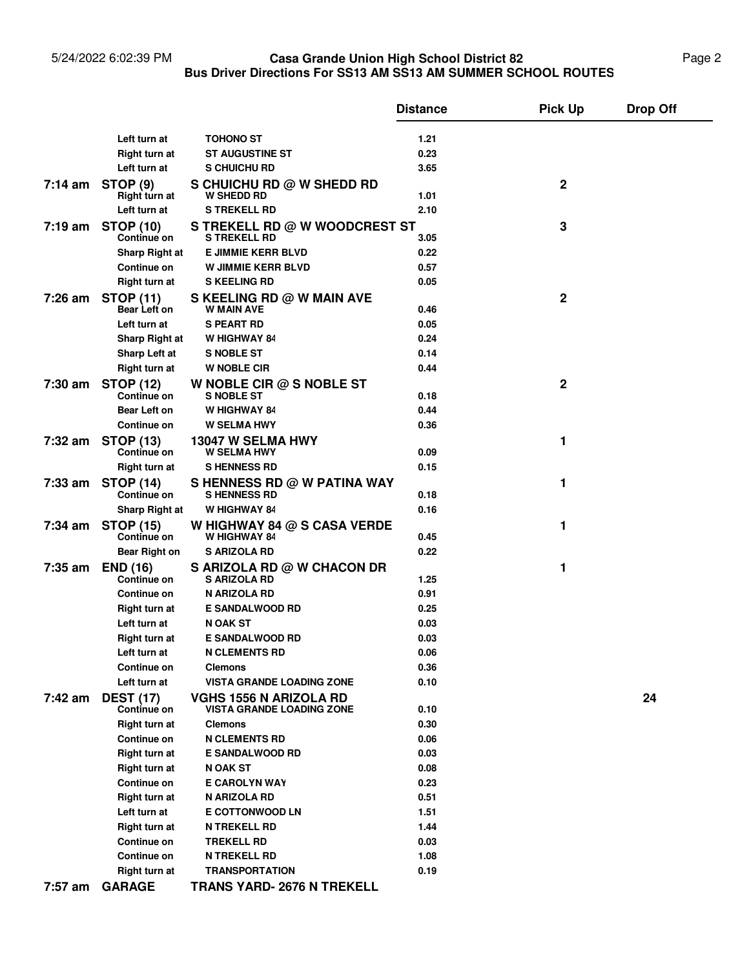## 5/24/2022 6:02:39 PM **Casa Grande Union High School District 82** Page 2 **Bus Driver Directions For SS13 AM SS13 AM SUMMER SCHOOL ROUTES Casa Grande Union High School District 82**

|         |                                  |                                                                   | <b>Distance</b> | <b>Pick Up</b> | <b>Drop Off</b> |
|---------|----------------------------------|-------------------------------------------------------------------|-----------------|----------------|-----------------|
|         |                                  |                                                                   |                 |                |                 |
|         | Left turn at                     | <b>TOHONO ST</b>                                                  | 1.21            |                |                 |
|         | Right turn at<br>Left turn at    | <b>ST AUGUSTINE ST</b>                                            | 0.23<br>3.65    |                |                 |
|         |                                  | S CHUICHU RD                                                      |                 |                |                 |
| 7:14 am | <b>STOP (9)</b><br>Right turn at | S CHUICHU RD @ W SHEDD RD<br><b>W SHEDD RD</b>                    | 1.01            | 2              |                 |
|         | Left turn at                     | <b>S TREKELL RD</b>                                               | 2.10            |                |                 |
| 7:19 am | <b>STOP (10)</b><br>Continue on  | S TREKELL RD @ W WOODCREST ST<br><b>S TREKELL RD</b>              | 3.05            | 3              |                 |
|         | Sharp Right at                   | <b>E JIMMIE KERR BLVD</b>                                         | 0.22            |                |                 |
|         | Continue on                      | <b>W JIMMIE KERR BLVD</b>                                         | 0.57            |                |                 |
|         | Right turn at                    | <b>S KEELING RD</b>                                               | 0.05            |                |                 |
| 7:26 am | <b>STOP (11)</b><br>Bear Left on | S KEELING RD @ W MAIN AVE<br><b>W MAIN AVE</b>                    | 0.46            | 2              |                 |
|         | Left turn at                     | <b>S PEART RD</b>                                                 | 0.05            |                |                 |
|         | <b>Sharp Right at</b>            | W HIGHWAY 84                                                      | 0.24            |                |                 |
|         | Sharp Left at                    | <b>S NOBLE ST</b>                                                 | 0.14            |                |                 |
|         | <b>Right turn at</b>             | <b>W NOBLE CIR</b>                                                | 0.44            |                |                 |
| 7:30 am | <b>STOP (12)</b><br>Continue on  | W NOBLE CIR $@$ S NOBLE ST<br><b>S NOBLE ST</b>                   | 0.18            | 2              |                 |
|         | Bear Left on                     | <b>W HIGHWAY 84</b>                                               | 0.44            |                |                 |
|         | Continue on                      | <b>W SELMA HWY</b>                                                | 0.36            |                |                 |
| 7:32 am | <b>STOP (13)</b><br>Continue on  | 13047 W SELMA HWY<br><b>W SELMA HWY</b>                           | 0.09            | 1              |                 |
|         | Right turn at                    | <b>SHENNESS RD</b>                                                | 0.15            |                |                 |
| 7:33 am | <b>STOP (14)</b>                 | S HENNESS RD @ W PATINA WAY                                       |                 | 1              |                 |
|         | Continue on                      | <b>SHENNESS RD</b>                                                | 0.18            |                |                 |
|         | <b>Sharp Right at</b>            | W HIGHWAY 84                                                      | 0.16            |                |                 |
| 7:34 am | <b>STOP (15)</b><br>Continue on  | W HIGHWAY 84 $@$ S CASA VERDE<br>W HIGHWAY 84                     | 0.45            | 1              |                 |
|         | <b>Bear Right on</b>             | <b>S ARIZOLA RD</b>                                               | 0.22            |                |                 |
| 7:35 am | <b>END (16)</b><br>Continue on   | S ARIZOLA RD @ W CHACON DR<br><b>S ARIZOLA RD</b>                 | 1.25            | 1              |                 |
|         | Continue on                      | N ARIZOLA RD                                                      | 0.91            |                |                 |
|         | Right turn at                    | <b>E SANDALWOOD RD</b>                                            | 0.25            |                |                 |
|         | Left turn at                     | <b>N OAK ST</b>                                                   | 0.03            |                |                 |
|         | <b>Right turn at</b>             | <b>E SANDALWOOD RD</b>                                            | 0.03            |                |                 |
|         | Left turn at                     | <b>N CLEMENTS RD</b>                                              | 0.06            |                |                 |
|         | Continue on                      | <b>Clemons</b>                                                    | 0.36            |                |                 |
|         | Left turn at                     | <b>VISTA GRANDE LOADING ZONE</b>                                  | 0.10            |                |                 |
| 7:42 am | <b>DEST (17)</b><br>Continue on  | <b>VGHS 1556 N ARIZOLA RD</b><br><b>VISTA GRANDE LOADING ZONE</b> | 0.10            |                | 24              |
|         | <b>Right turn at</b>             | <b>Clemons</b>                                                    | 0.30            |                |                 |
|         | Continue on                      | <b>N CLEMENTS RD</b>                                              | 0.06            |                |                 |
|         | Right turn at                    | <b>E SANDALWOOD RD</b>                                            | 0.03            |                |                 |
|         | Right turn at                    | <b>N OAK ST</b>                                                   | 0.08            |                |                 |
|         | Continue on                      | <b>E CAROLYN WAY</b>                                              | 0.23            |                |                 |
|         | Right turn at                    | N ARIZOLA RD                                                      | 0.51            |                |                 |
|         | Left turn at                     | <b>E COTTONWOOD LN</b>                                            | 1.51            |                |                 |
|         | Right turn at                    | <b>N TREKELL RD</b>                                               | 1.44            |                |                 |
|         | Continue on                      | <b>TREKELL RD</b>                                                 | 0.03            |                |                 |
|         | Continue on                      | <b>N TREKELL RD</b>                                               | 1.08            |                |                 |
|         | <b>Right turn at</b>             | <b>TRANSPORTATION</b>                                             | 0.19            |                |                 |
| 7:57 am | <b>GARAGE</b>                    | <b>TRANS YARD- 2676 N TREKELL</b>                                 |                 |                |                 |